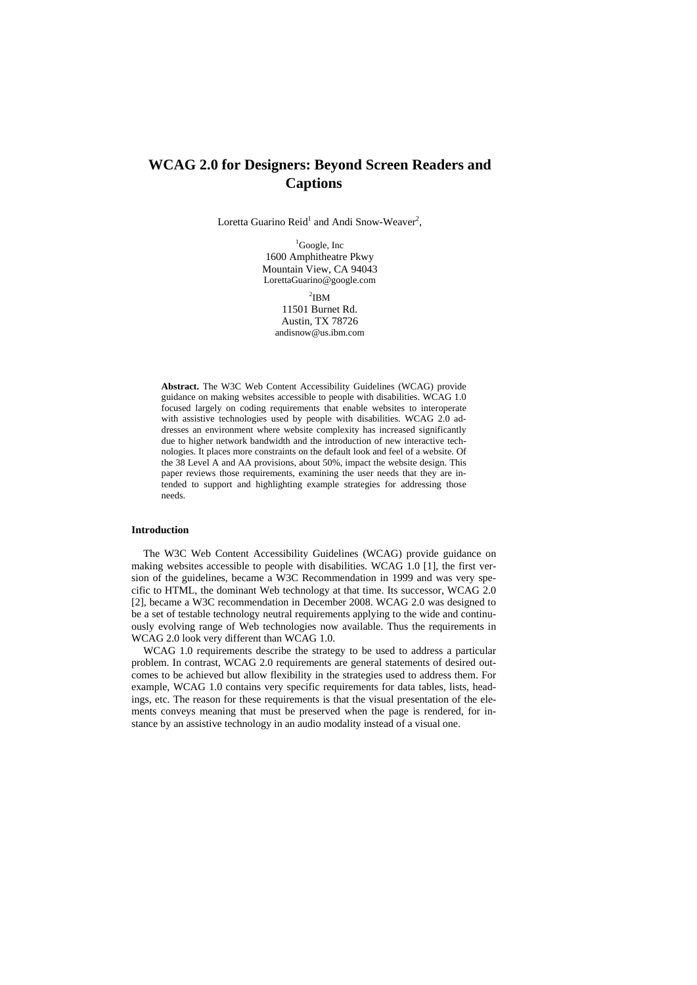# **WCAG 2.0 for Designers: Beyond Screen Readers and Captions**

Loretta Guarino Reid<sup>1</sup> and Andi Snow-Weaver<sup>2</sup>,

<sup>1</sup>Google, Inc 1600 Amphitheatre Pkwy Mountain View, CA 94043 LorettaGuarino@google.com

 $2$ IBM 11501 Burnet Rd. Austin, TX 78726 andisnow@us.ibm.com

**Abstract.** The W3C Web Content Accessibility Guidelines (WCAG) provide guidance on making websites accessible to people with disabilities. WCAG 1.0 focused largely on coding requirements that enable websites to interoperate with assistive technologies used by people with disabilities. WCAG 2.0 addresses an environment where website complexity has increased significantly due to higher network bandwidth and the introduction of new interactive technologies. It places more constraints on the default look and feel of a website. Of the 38 Level A and AA provisions, about 50%, impact the website design. This paper reviews those requirements, examining the user needs that they are intended to support and highlighting example strategies for addressing those needs.

## **Introduction**

The W3C Web Content Accessibility Guidelines (WCAG) provide guidance on making websites accessible to people with disabilities. WCAG 1.0 [1], the first version of the guidelines, became a W3C Recommendation in 1999 and was very specific to HTML, the dominant Web technology at that time. Its successor, WCAG 2.0 [2], became a W3C recommendation in December 2008. WCAG 2.0 was designed to be a set of testable technology neutral requirements applying to the wide and continuously evolving range of Web technologies now available. Thus the requirements in WCAG 2.0 look very different than WCAG 1.0.

WCAG 1.0 requirements describe the strategy to be used to address a particular problem. In contrast, WCAG 2.0 requirements are general statements of desired outcomes to be achieved but allow flexibility in the strategies used to address them. For example, WCAG 1.0 contains very specific requirements for data tables, lists, headings, etc. The reason for these requirements is that the visual presentation of the elements conveys meaning that must be preserved when the page is rendered, for instance by an assistive technology in an audio modality instead of a visual one.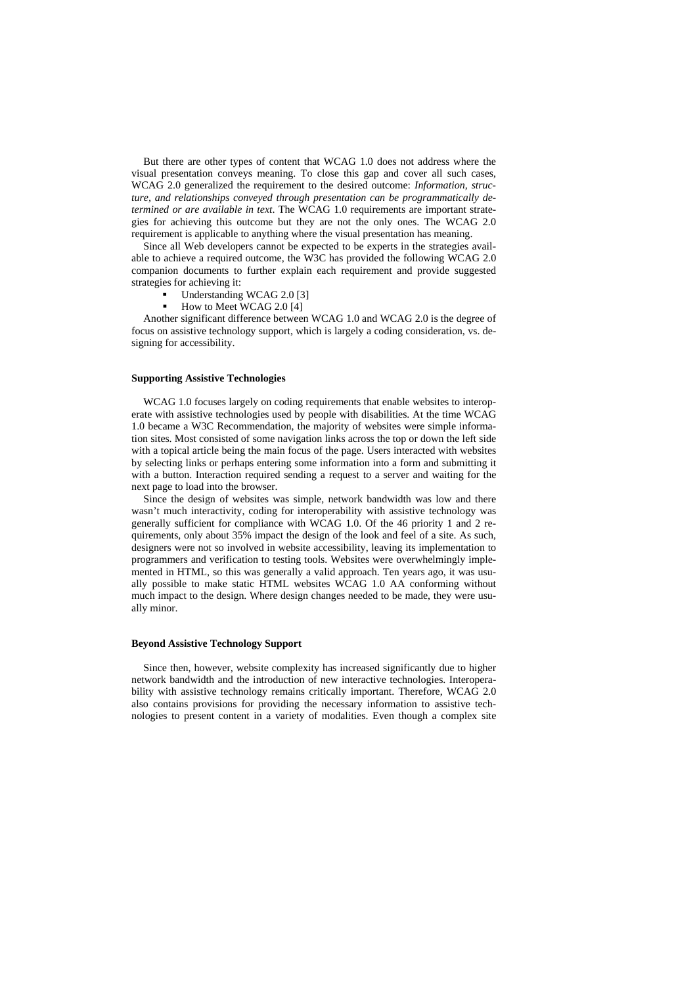But there are other types of content that WCAG 1.0 does not address where the visual presentation conveys meaning. To close this gap and cover all such cases, WCAG 2.0 generalized the requirement to the desired outcome: *Information, structure, and relationships conveyed through presentation can be programmatically determined or are available in text*. The WCAG 1.0 requirements are important strategies for achieving this outcome but they are not the only ones. The WCAG 2.0 requirement is applicable to anything where the visual presentation has meaning.

Since all Web developers cannot be expected to be experts in the strategies available to achieve a required outcome, the W3C has provided the following WCAG 2.0 companion documents to further explain each requirement and provide suggested strategies for achieving it:

- Understanding WCAG 2.0 [3]
- How to Meet WCAG 2.0 [4]

Another significant difference between WCAG 1.0 and WCAG 2.0 is the degree of focus on assistive technology support, which is largely a coding consideration, vs. designing for accessibility.

# **Supporting Assistive Technologies**

WCAG 1.0 focuses largely on coding requirements that enable websites to interoperate with assistive technologies used by people with disabilities. At the time WCAG 1.0 became a W3C Recommendation, the majority of websites were simple information sites. Most consisted of some navigation links across the top or down the left side with a topical article being the main focus of the page. Users interacted with websites by selecting links or perhaps entering some information into a form and submitting it with a button. Interaction required sending a request to a server and waiting for the next page to load into the browser.

Since the design of websites was simple, network bandwidth was low and there wasn't much interactivity, coding for interoperability with assistive technology was generally sufficient for compliance with WCAG 1.0. Of the 46 priority 1 and 2 requirements, only about 35% impact the design of the look and feel of a site. As such, designers were not so involved in website accessibility, leaving its implementation to programmers and verification to testing tools. Websites were overwhelmingly implemented in HTML, so this was generally a valid approach. Ten years ago, it was usually possible to make static HTML websites WCAG 1.0 AA conforming without much impact to the design. Where design changes needed to be made, they were usually minor.

#### **Beyond Assistive Technology Support**

Since then, however, website complexity has increased significantly due to higher network bandwidth and the introduction of new interactive technologies. Interoperability with assistive technology remains critically important. Therefore, WCAG 2.0 also contains provisions for providing the necessary information to assistive technologies to present content in a variety of modalities. Even though a complex site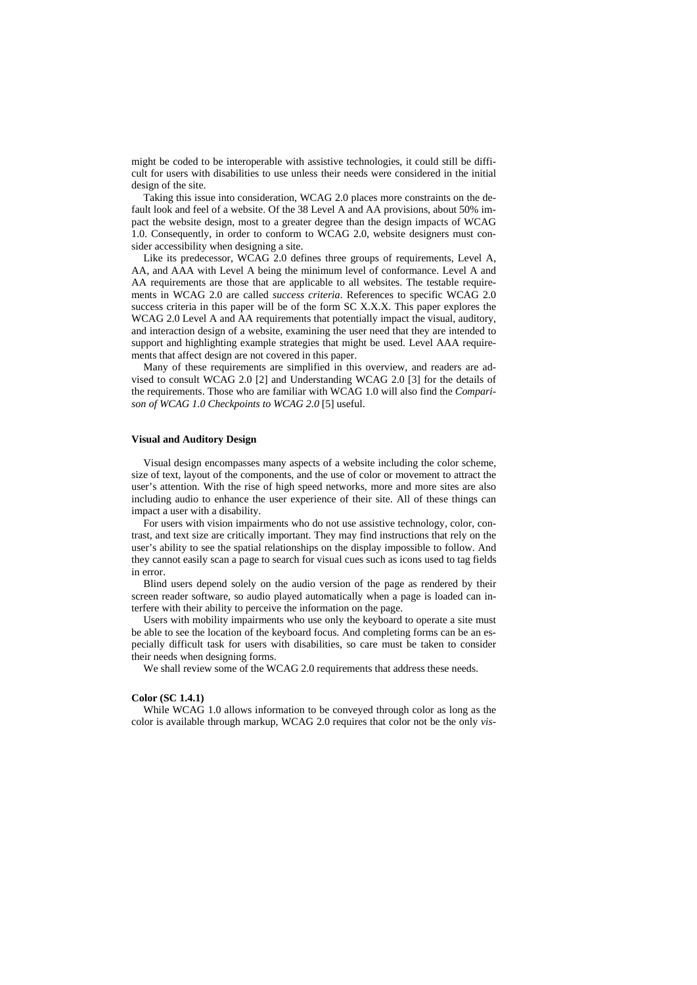might be coded to be interoperable with assistive technologies, it could still be difficult for users with disabilities to use unless their needs were considered in the initial design of the site.

Taking this issue into consideration, WCAG 2.0 places more constraints on the default look and feel of a website. Of the 38 Level A and AA provisions, about 50% impact the website design, most to a greater degree than the design impacts of WCAG 1.0. Consequently, in order to conform to WCAG 2.0, website designers must consider accessibility when designing a site.

Like its predecessor, WCAG 2.0 defines three groups of requirements, Level A, AA, and AAA with Level A being the minimum level of conformance. Level A and AA requirements are those that are applicable to all websites. The testable requirements in WCAG 2.0 are called *success criteria*. References to specific WCAG 2.0 success criteria in this paper will be of the form SC X.X.X. This paper explores the WCAG 2.0 Level A and AA requirements that potentially impact the visual, auditory, and interaction design of a website, examining the user need that they are intended to support and highlighting example strategies that might be used. Level AAA requirements that affect design are not covered in this paper.

Many of these requirements are simplified in this overview, and readers are advised to consult WCAG 2.0 [2] and Understanding WCAG 2.0 [3] for the details of the requirements. Those who are familiar with WCAG 1.0 will also find the *Comparison of WCAG 1.0 Checkpoints to WCAG 2.0* [5] useful.

## **Visual and Auditory Design**

Visual design encompasses many aspects of a website including the color scheme, size of text, layout of the components, and the use of color or movement to attract the user's attention. With the rise of high speed networks, more and more sites are also including audio to enhance the user experience of their site. All of these things can impact a user with a disability.

For users with vision impairments who do not use assistive technology, color, contrast, and text size are critically important. They may find instructions that rely on the user's ability to see the spatial relationships on the display impossible to follow. And they cannot easily scan a page to search for visual cues such as icons used to tag fields in error.

Blind users depend solely on the audio version of the page as rendered by their screen reader software, so audio played automatically when a page is loaded can interfere with their ability to perceive the information on the page.

Users with mobility impairments who use only the keyboard to operate a site must be able to see the location of the keyboard focus. And completing forms can be an especially difficult task for users with disabilities, so care must be taken to consider their needs when designing forms.

We shall review some of the WCAG 2.0 requirements that address these needs.

#### **Color (SC 1.4.1)**

While WCAG 1.0 allows information to be conveyed through color as long as the color is available through markup, WCAG 2.0 requires that color not be the only *vis-*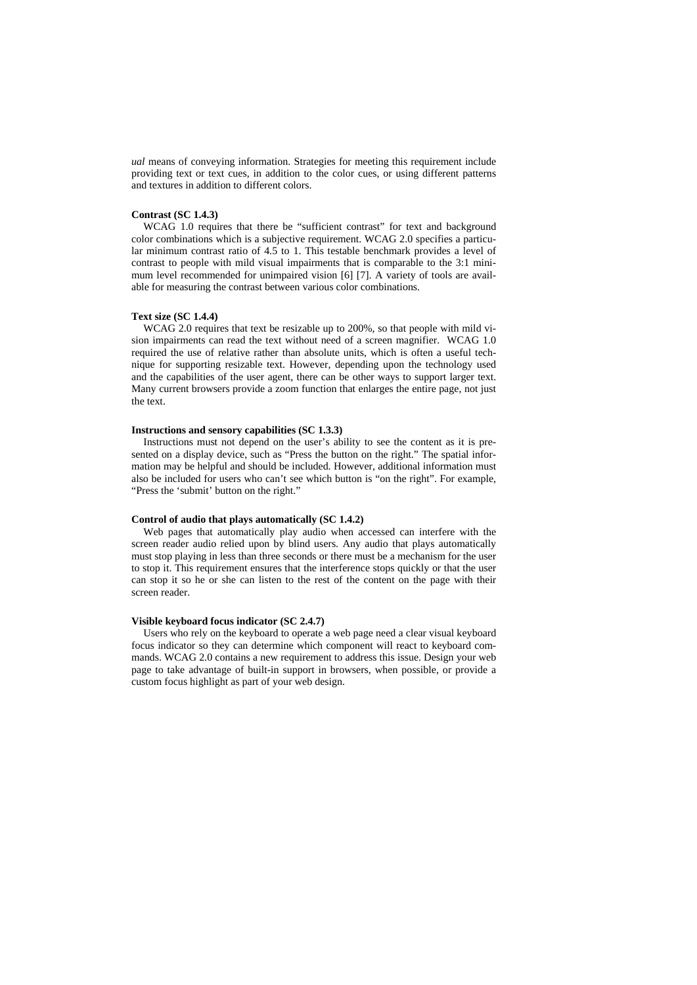*ual* means of conveying information. Strategies for meeting this requirement include providing text or text cues, in addition to the color cues, or using different patterns and textures in addition to different colors.

#### **Contrast (SC 1.4.3)**

WCAG 1.0 requires that there be "sufficient contrast" for text and background color combinations which is a subjective requirement. WCAG 2.0 specifies a particular minimum contrast ratio of  $4.5$  to 1. This testable benchmark provides a level of contrast to people with mild visual impairments that is comparable to the 3:1 minimum level recommended for unimpaired vision [6] [7]. A variety of tools are available for measuring the contrast between various color combinations.

## **Text size (SC 1.4.4)**

WCAG 2.0 requires that text be resizable up to 200%, so that people with mild vision impairments can read the text without need of a screen magnifier. WCAG 1.0 required the use of relative rather than absolute units, which is often a useful technique for supporting resizable text. However, depending upon the technology used and the capabilities of the user agent, there can be other ways to support larger text. Many current browsers provide a zoom function that enlarges the entire page, not just the text.

## **Instructions and sensory capabilities (SC 1.3.3)**

Instructions must not depend on the user's ability to see the content as it is presented on a display device, such as "Press the button on the right." The spatial information may be helpful and should be included. However, additional information must also be included for users who can't see which button is "on the right". For example, "Press the 'submit' button on the right."

#### **Control of audio that plays automatically (SC 1.4.2)**

Web pages that automatically play audio when accessed can interfere with the screen reader audio relied upon by blind users. Any audio that plays automatically must stop playing in less than three seconds or there must be a mechanism for the user to stop it. This requirement ensures that the interference stops quickly or that the user can stop it so he or she can listen to the rest of the content on the page with their screen reader.

#### **Visible keyboard focus indicator (SC 2.4.7)**

Users who rely on the keyboard to operate a web page need a clear visual keyboard focus indicator so they can determine which component will react to keyboard commands. WCAG 2.0 contains a new requirement to address this issue. Design your web page to take advantage of built-in support in browsers, when possible, or provide a custom focus highlight as part of your web design.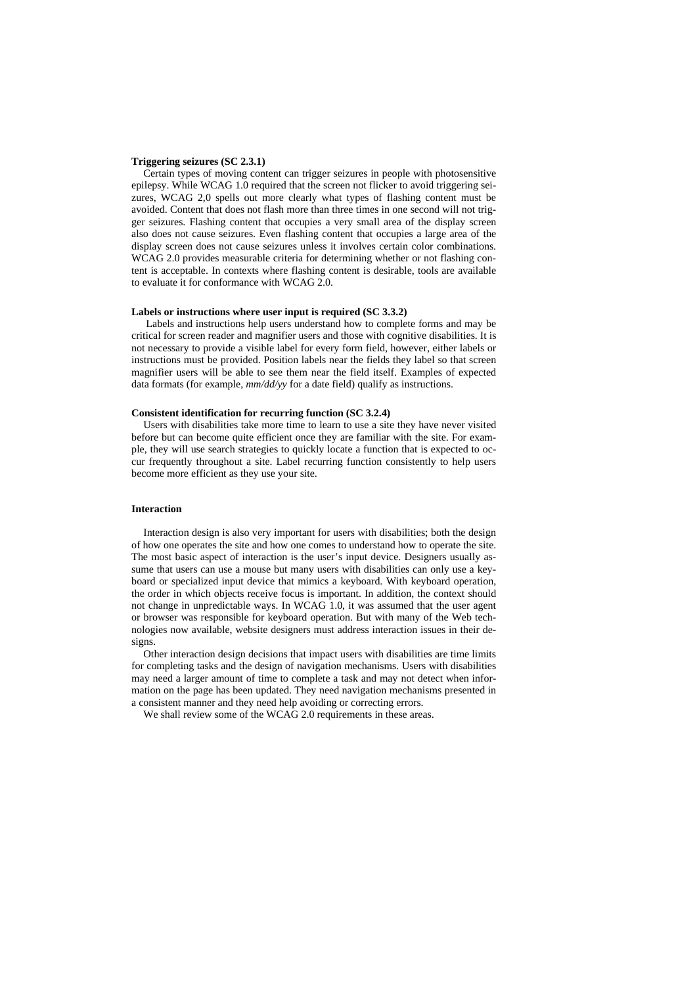### **Triggering seizures (SC 2.3.1)**

Certain types of moving content can trigger seizures in people with photosensitive epilepsy. While WCAG 1.0 required that the screen not flicker to avoid triggering seizures, WCAG 2,0 spells out more clearly what types of flashing content must be avoided. Content that does not flash more than three times in one second will not trigger seizures. Flashing content that occupies a very small area of the display screen also does not cause seizures. Even flashing content that occupies a large area of the display screen does not cause seizures unless it involves certain color combinations. WCAG 2.0 provides measurable criteria for determining whether or not flashing content is acceptable. In contexts where flashing content is desirable, tools are available to evaluate it for conformance with WCAG 2.0.

#### **Labels or instructions where user input is required (SC 3.3.2)**

Labels and instructions help users understand how to complete forms and may be critical for screen reader and magnifier users and those with cognitive disabilities. It is not necessary to provide a visible label for every form field, however, either labels or instructions must be provided. Position labels near the fields they label so that screen magnifier users will be able to see them near the field itself. Examples of expected data formats (for example, *mm/dd/yy* for a date field) qualify as instructions.

#### **Consistent identification for recurring function (SC 3.2.4)**

Users with disabilities take more time to learn to use a site they have never visited before but can become quite efficient once they are familiar with the site. For example, they will use search strategies to quickly locate a function that is expected to occur frequently throughout a site. Label recurring function consistently to help users become more efficient as they use your site.

### **Interaction**

Interaction design is also very important for users with disabilities; both the design of how one operates the site and how one comes to understand how to operate the site. The most basic aspect of interaction is the user's input device. Designers usually assume that users can use a mouse but many users with disabilities can only use a keyboard or specialized input device that mimics a keyboard. With keyboard operation, the order in which objects receive focus is important. In addition, the context should not change in unpredictable ways. In WCAG 1.0, it was assumed that the user agent or browser was responsible for keyboard operation. But with many of the Web technologies now available, website designers must address interaction issues in their designs.

Other interaction design decisions that impact users with disabilities are time limits for completing tasks and the design of navigation mechanisms. Users with disabilities may need a larger amount of time to complete a task and may not detect when information on the page has been updated. They need navigation mechanisms presented in a consistent manner and they need help avoiding or correcting errors.

We shall review some of the WCAG 2.0 requirements in these areas.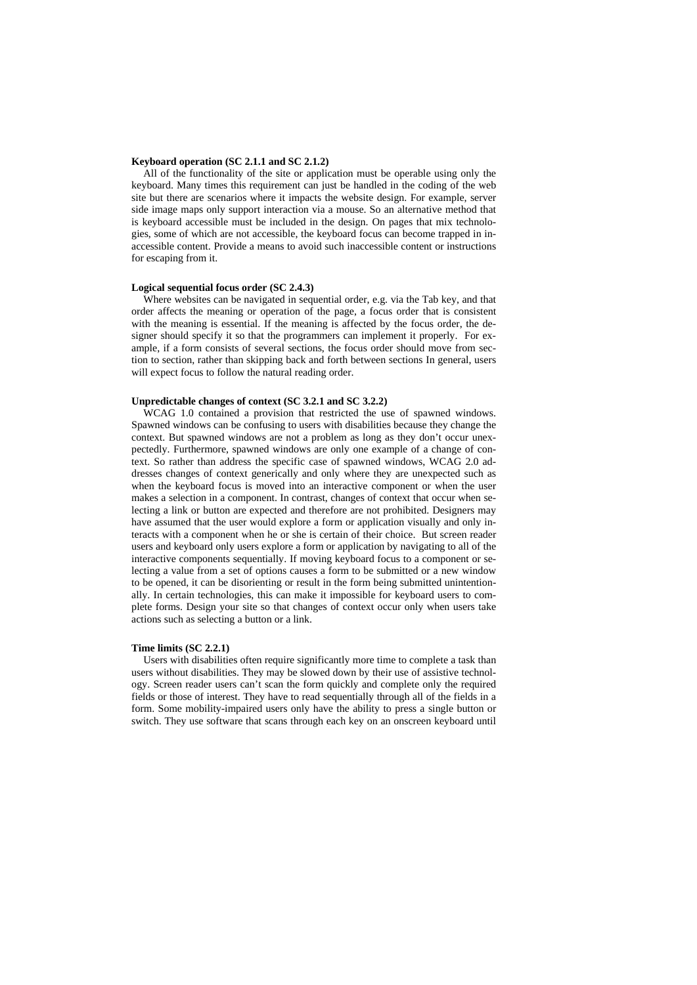# **Keyboard operation (SC 2.1.1 and SC 2.1.2)**

All of the functionality of the site or application must be operable using only the keyboard. Many times this requirement can just be handled in the coding of the web site but there are scenarios where it impacts the website design. For example, server side image maps only support interaction via a mouse. So an alternative method that is keyboard accessible must be included in the design. On pages that mix technologies, some of which are not accessible, the keyboard focus can become trapped in inaccessible content. Provide a means to avoid such inaccessible content or instructions for escaping from it.

#### **Logical sequential focus order (SC 2.4.3)**

Where websites can be navigated in sequential order, e.g. via the Tab key, and that order affects the meaning or operation of the page, a focus order that is consistent with the meaning is essential. If the meaning is affected by the focus order, the designer should specify it so that the programmers can implement it properly. For example, if a form consists of several sections, the focus order should move from section to section, rather than skipping back and forth between sections In general, users will expect focus to follow the natural reading order.

#### **Unpredictable changes of context (SC 3.2.1 and SC 3.2.2)**

WCAG 1.0 contained a provision that restricted the use of spawned windows. Spawned windows can be confusing to users with disabilities because they change the context. But spawned windows are not a problem as long as they don't occur unexpectedly. Furthermore, spawned windows are only one example of a change of context. So rather than address the specific case of spawned windows, WCAG 2.0 addresses changes of context generically and only where they are unexpected such as when the keyboard focus is moved into an interactive component or when the user makes a selection in a component. In contrast, changes of context that occur when selecting a link or button are expected and therefore are not prohibited. Designers may have assumed that the user would explore a form or application visually and only interacts with a component when he or she is certain of their choice. But screen reader users and keyboard only users explore a form or application by navigating to all of the interactive components sequentially. If moving keyboard focus to a component or selecting a value from a set of options causes a form to be submitted or a new window to be opened, it can be disorienting or result in the form being submitted unintentionally. In certain technologies, this can make it impossible for keyboard users to complete forms. Design your site so that changes of context occur only when users take actions such as selecting a button or a link.

#### **Time limits (SC 2.2.1)**

Users with disabilities often require significantly more time to complete a task than users without disabilities. They may be slowed down by their use of assistive technology. Screen reader users can't scan the form quickly and complete only the required fields or those of interest. They have to read sequentially through all of the fields in a form. Some mobility-impaired users only have the ability to press a single button or switch. They use software that scans through each key on an onscreen keyboard until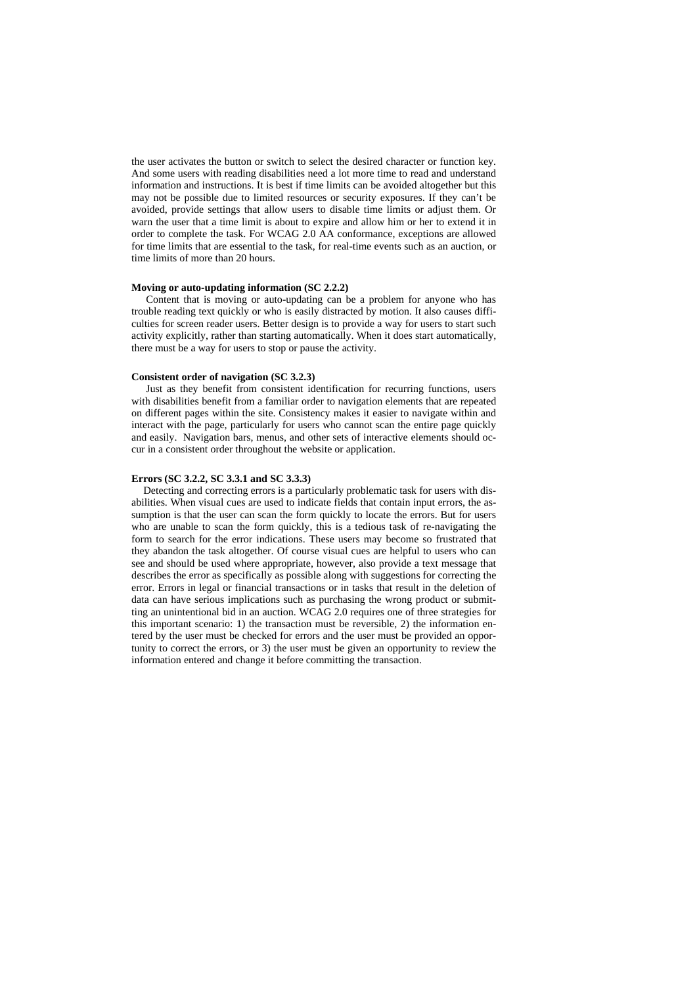the user activates the button or switch to select the desired character or function key. And some users with reading disabilities need a lot more time to read and understand information and instructions. It is best if time limits can be avoided altogether but this may not be possible due to limited resources or security exposures. If they can't be avoided, provide settings that allow users to disable time limits or adjust them. Or warn the user that a time limit is about to expire and allow him or her to extend it in order to complete the task. For WCAG 2.0 AA conformance, exceptions are allowed for time limits that are essential to the task, for real-time events such as an auction, or time limits of more than 20 hours.

#### **Moving or auto-updating information (SC 2.2.2)**

Content that is moving or auto-updating can be a problem for anyone who has trouble reading text quickly or who is easily distracted by motion. It also causes difficulties for screen reader users. Better design is to provide a way for users to start such activity explicitly, rather than starting automatically. When it does start automatically, there must be a way for users to stop or pause the activity.

#### **Consistent order of navigation (SC 3.2.3)**

Just as they benefit from consistent identification for recurring functions, users with disabilities benefit from a familiar order to navigation elements that are repeated on different pages within the site. Consistency makes it easier to navigate within and interact with the page, particularly for users who cannot scan the entire page quickly and easily. Navigation bars, menus, and other sets of interactive elements should occur in a consistent order throughout the website or application.

#### **Errors (SC 3.2.2, SC 3.3.1 and SC 3.3.3)**

Detecting and correcting errors is a particularly problematic task for users with disabilities. When visual cues are used to indicate fields that contain input errors, the assumption is that the user can scan the form quickly to locate the errors. But for users who are unable to scan the form quickly, this is a tedious task of re-navigating the form to search for the error indications. These users may become so frustrated that they abandon the task altogether. Of course visual cues are helpful to users who can see and should be used where appropriate, however, also provide a text message that describes the error as specifically as possible along with suggestions for correcting the error. Errors in legal or financial transactions or in tasks that result in the deletion of data can have serious implications such as purchasing the wrong product or submitting an unintentional bid in an auction. WCAG 2.0 requires one of three strategies for this important scenario: 1) the transaction must be reversible, 2) the information entered by the user must be checked for errors and the user must be provided an opportunity to correct the errors, or 3) the user must be given an opportunity to review the information entered and change it before committing the transaction.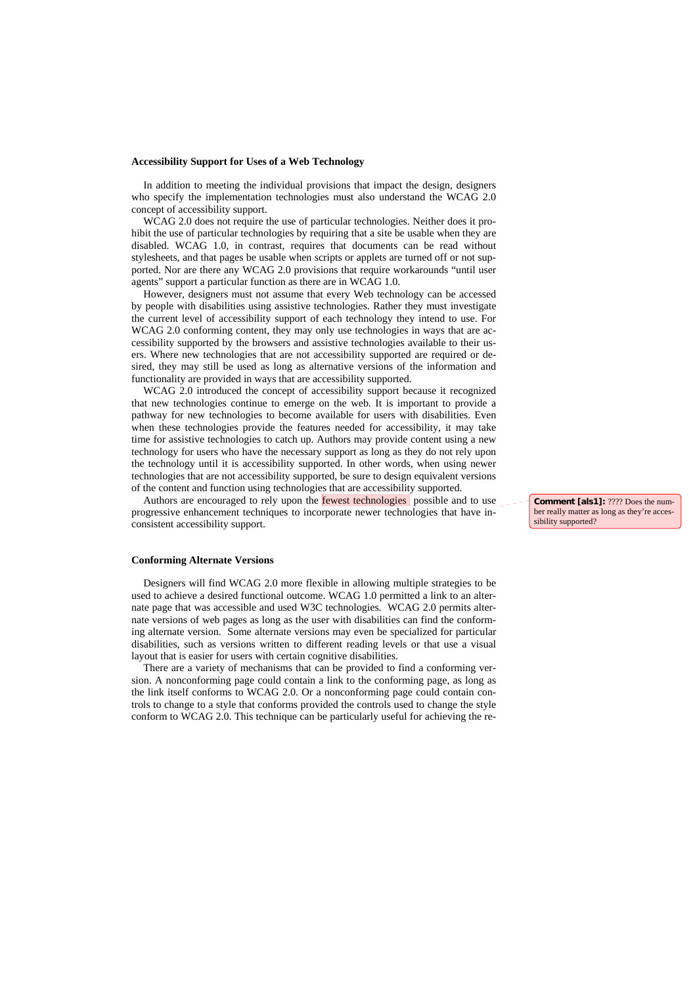# **Accessibility Support for Uses of a Web Technology**

In addition to meeting the individual provisions that impact the design, designers who specify the implementation technologies must also understand the WCAG 2.0 concept of accessibility support.

WCAG 2.0 does not require the use of particular technologies. Neither does it prohibit the use of particular technologies by requiring that a site be usable when they are disabled. WCAG 1.0, in contrast, requires that documents can be read without stylesheets, and that pages be usable when scripts or applets are turned off or not supported. Nor are there any WCAG 2.0 provisions that require workarounds "until user agents" support a particular function as there are in WCAG 1.0.

However, designers must not assume that every Web technology can be accessed by people with disabilities using assistive technologies. Rather they must investigate the current level of accessibility support of each technology they intend to use. For WCAG 2.0 conforming content, they may only use technologies in ways that are accessibility supported by the browsers and assistive technologies available to their users. Where new technologies that are not accessibility supported are required or desired, they may still be used as long as alternative versions of the information and functionality are provided in ways that are accessibility supported.

WCAG 2.0 introduced the concept of accessibility support because it recognized that new technologies continue to emerge on the web. It is important to provide a pathway for new technologies to become available for users with disabilities. Even when these technologies provide the features needed for accessibility, it may take time for assistive technologies to catch up. Authors may provide content using a new technology for users who have the necessary support as long as they do not rely upon the technology until it is accessibility supported. In other words, when using newer technologies that are not accessibility supported, be sure to design equivalent versions of the content and function using technologies that are accessibility supported.

Authors are encouraged to rely upon the **fewest technologies** possible and to use progressive enhancement techniques to incorporate newer technologies that have inconsistent accessibility support.

# **Conforming Alternate Versions**

Designers will find WCAG 2.0 more flexible in allowing multiple strategies to be used to achieve a desired functional outcome. WCAG 1.0 permitted a link to an alternate page that was accessible and used W3C technologies. WCAG 2.0 permits alternate versions of web pages as long as the user with disabilities can find the conforming alternate version. Some alternate versions may even be specialized for particular disabilities, such as versions written to different reading levels or that use a visual layout that is easier for users with certain cognitive disabilities.

There are a variety of mechanisms that can be provided to find a conforming version. A nonconforming page could contain a link to the conforming page, as long as the link itself conforms to WCAG 2.0. Or a nonconforming page could contain controls to change to a style that conforms provided the controls used to change the style conform to WCAG 2.0. This technique can be particularly useful for achieving the re**Comment [als1]:** ???? Does the number really matter as long as they're accessibility supported?